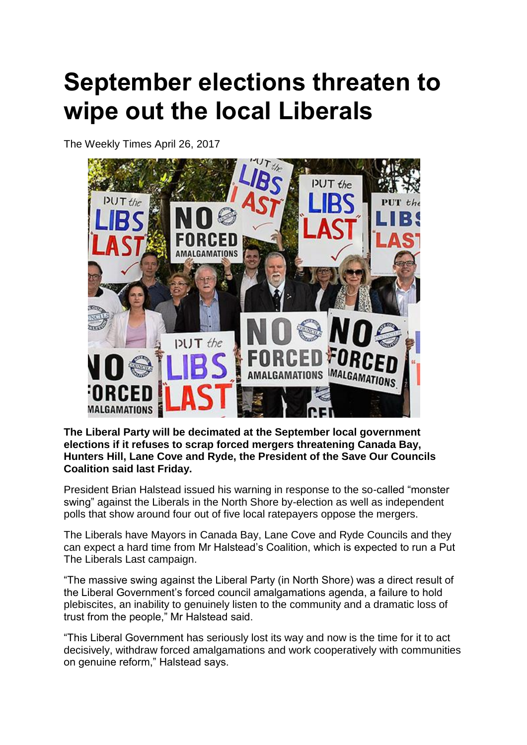## **September elections threaten to wipe out the local Liberals**

The Weekly Times April 26, 2017



**The Liberal Party will be decimated at the September local government elections if it refuses to scrap forced mergers threatening Canada Bay, Hunters Hill, Lane Cove and Ryde, the President of the Save Our Councils Coalition said last Friday.**

President Brian Halstead issued his warning in response to the so-called "monster swing" against the Liberals in the North Shore by-election as well as independent polls that show around four out of five local ratepayers oppose the mergers.

The Liberals have Mayors in Canada Bay, Lane Cove and Ryde Councils and they can expect a hard time from Mr Halstead's Coalition, which is expected to run a Put The Liberals Last campaign.

"The massive swing against the Liberal Party (in North Shore) was a direct result of the Liberal Government's forced council amalgamations agenda, a failure to hold plebiscites, an inability to genuinely listen to the community and a dramatic loss of trust from the people," Mr Halstead said.

"This Liberal Government has seriously lost its way and now is the time for it to act decisively, withdraw forced amalgamations and work cooperatively with communities on genuine reform," Halstead says.